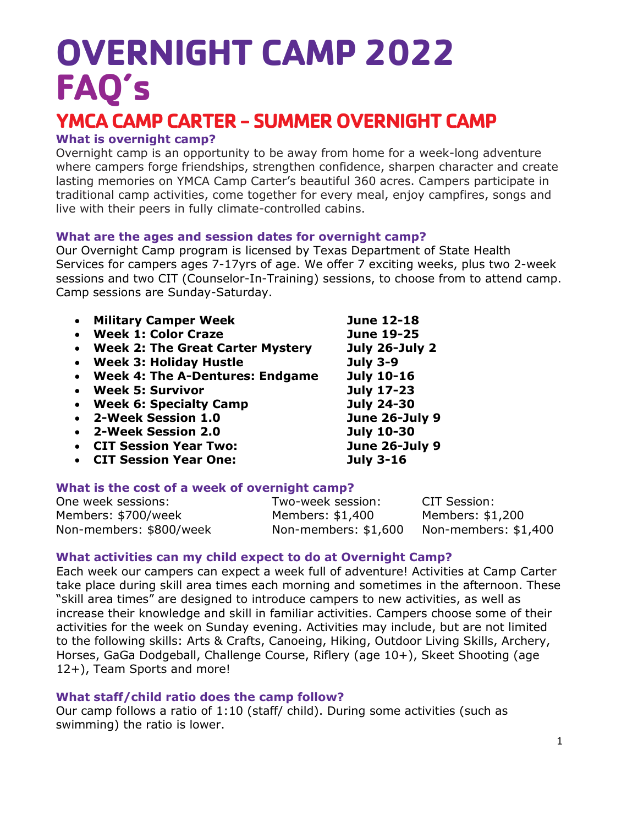# **OVERNIGHT CAMP 2022 FAQ's**

### **YMCA CAMP CARTER- SUMMER OVERNIGHT CAMP**

#### **What is overnight camp?**

Overnight camp is an opportunity to be away from home for a week-long adventure where campers forge friendships, strengthen confidence, sharpen character and create lasting memories on YMCA Camp Carter's beautiful 360 acres. Campers participate in traditional camp activities, come together for every meal, enjoy campfires, songs and live with their peers in fully climate-controlled cabins.

#### **What are the ages and session dates for overnight camp?**

Our Overnight Camp program is licensed by Texas Department of State Health Services for campers ages 7-17yrs of age. We offer 7 exciting weeks, plus two 2-week sessions and two CIT (Counselor-In-Training) sessions, to choose from to attend camp. Camp sessions are Sunday-Saturday.

|           | • Military Camper Week             | <b>June 12-18</b> |
|-----------|------------------------------------|-------------------|
|           | <b>Week 1: Color Craze</b>         | <b>June 19-25</b> |
|           | • Week 2: The Great Carter Mystery | July 26-July 2    |
| $\bullet$ | <b>Week 3: Holiday Hustle</b>      | <b>July 3-9</b>   |
|           | • Week 4: The A-Dentures: Endgame  | <b>July 10-16</b> |
|           | • Week 5: Survivor                 | <b>July 17-23</b> |
| $\bullet$ | <b>Week 6: Specialty Camp</b>      | <b>July 24-30</b> |
|           | • 2-Week Session 1.0               | June 26-July 9    |
|           | 2-Week Session 2.0                 | <b>July 10-30</b> |
|           | <b>CIT Session Year Two:</b>       | June 26-July 9    |
|           | <b>CIT Session Year One:</b>       | <b>July 3-16</b>  |
|           |                                    |                   |

#### **What is the cost of a week of overnight camp?**

One week sessions: Two-week session: CIT Session: Members: \$700/week Members: \$1,400 Members: \$1,200 Non-members: \$800/week Non-members: \$1,600 Non-members: \$1,400

#### **What activities can my child expect to do at Overnight Camp?**

Each week our campers can expect a week full of adventure! Activities at Camp Carter take place during skill area times each morning and sometimes in the afternoon. These "skill area times" are designed to introduce campers to new activities, as well as increase their knowledge and skill in familiar activities. Campers choose some of their activities for the week on Sunday evening. Activities may include, but are not limited to the following skills: Arts & Crafts, Canoeing, Hiking, Outdoor Living Skills, Archery, Horses, GaGa Dodgeball, Challenge Course, Riflery (age 10+), Skeet Shooting (age 12+), Team Sports and more!

#### **What staff/child ratio does the camp follow?**

Our camp follows a ratio of 1:10 (staff/ child). During some activities (such as swimming) the ratio is lower.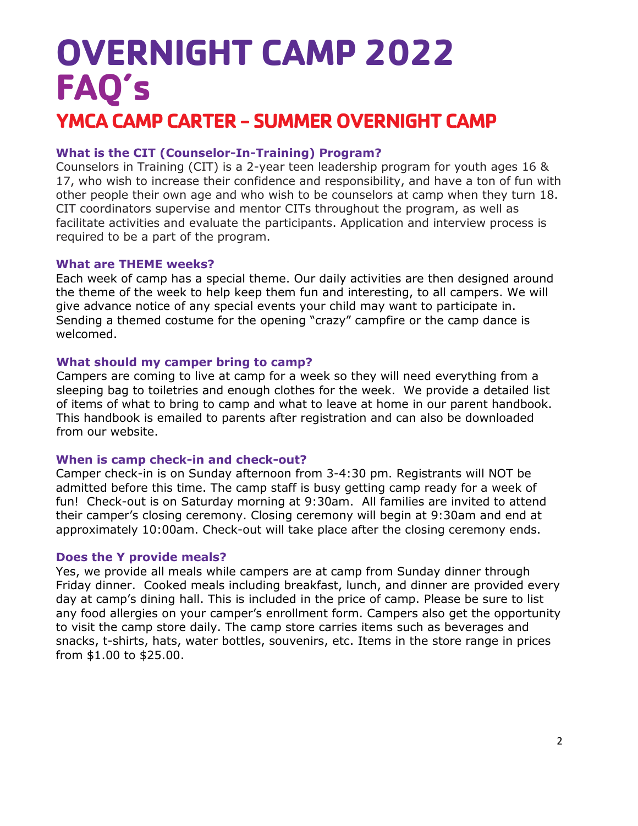## **OVERNIGHT CAMP 2022 FAQ's YMCA CAMP CARTER- SUMMER OVERNIGHT CAMP**

#### **What is the CIT (Counselor-In-Training) Program?**

Counselors in Training (CIT) is a 2-year teen leadership program for youth ages 16 & 17, who wish to increase their confidence and responsibility, and have a ton of fun with other people their own age and who wish to be counselors at camp when they turn 18. CIT coordinators supervise and mentor CITs throughout the program, as well as facilitate activities and evaluate the participants. Application and interview process is required to be a part of the program.

#### **What are THEME weeks?**

Each week of camp has a special theme. Our daily activities are then designed around the theme of the week to help keep them fun and interesting, to all campers. We will give advance notice of any special events your child may want to participate in. Sending a themed costume for the opening "crazy" campfire or the camp dance is welcomed.

#### **What should my camper bring to camp?**

Campers are coming to live at camp for a week so they will need everything from a sleeping bag to toiletries and enough clothes for the week. We provide a detailed list of items of what to bring to camp and what to leave at home in our parent handbook. This handbook is emailed to parents after registration and can also be downloaded from our website.

#### **When is camp check-in and check-out?**

Camper check-in is on Sunday afternoon from 3-4:30 pm. Registrants will NOT be admitted before this time. The camp staff is busy getting camp ready for a week of fun! Check-out is on Saturday morning at 9:30am. All families are invited to attend their camper's closing ceremony. Closing ceremony will begin at 9:30am and end at approximately 10:00am. Check-out will take place after the closing ceremony ends.

#### **Does the Y provide meals?**

Yes, we provide all meals while campers are at camp from Sunday dinner through Friday dinner. Cooked meals including breakfast, lunch, and dinner are provided every day at camp's dining hall. This is included in the price of camp. Please be sure to list any food allergies on your camper's enrollment form. Campers also get the opportunity to visit the camp store daily. The camp store carries items such as beverages and snacks, t-shirts, hats, water bottles, souvenirs, etc. Items in the store range in prices from \$1.00 to \$25.00.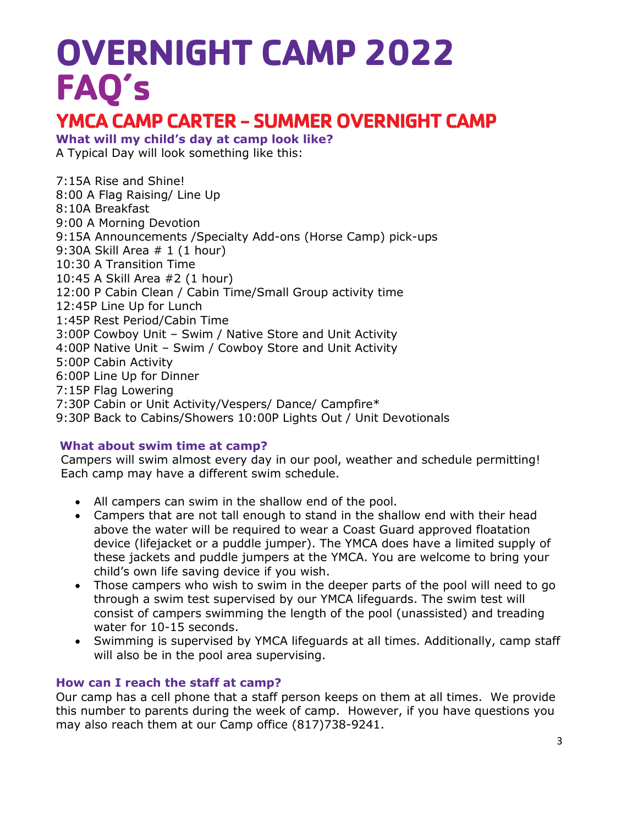# **OVERNIGHT CAMP 2022 FAQ's**

### **YMCA CAMP CARTER- SUMMER OVERNIGHT CAMP**

**What will my child's day at camp look like?** 

A Typical Day will look something like this:

7:15A Rise and Shine! 8:00 A Flag Raising/ Line Up 8:10A Breakfast 9:00 A Morning Devotion 9:15A Announcements /Specialty Add-ons (Horse Camp) pick-ups 9:30A Skill Area # 1 (1 hour) 10:30 A Transition Time 10:45 A Skill Area #2 (1 hour) 12:00 P Cabin Clean / Cabin Time/Small Group activity time 12:45P Line Up for Lunch 1:45P Rest Period/Cabin Time 3:00P Cowboy Unit – Swim / Native Store and Unit Activity 4:00P Native Unit – Swim / Cowboy Store and Unit Activity 5:00P Cabin Activity 6:00P Line Up for Dinner 7:15P Flag Lowering 7:30P Cabin or Unit Activity/Vespers/ Dance/ Campfire\* 9:30P Back to Cabins/Showers 10:00P Lights Out / Unit Devotionals

#### **What about swim time at camp?**

Campers will swim almost every day in our pool, weather and schedule permitting! Each camp may have a different swim schedule.

- All campers can swim in the shallow end of the pool.
- Campers that are not tall enough to stand in the shallow end with their head above the water will be required to wear a Coast Guard approved floatation device (lifejacket or a puddle jumper). The YMCA does have a limited supply of these jackets and puddle jumpers at the YMCA. You are welcome to bring your child's own life saving device if you wish.
- Those campers who wish to swim in the deeper parts of the pool will need to go through a swim test supervised by our YMCA lifeguards. The swim test will consist of campers swimming the length of the pool (unassisted) and treading water for 10-15 seconds.
- Swimming is supervised by YMCA lifeguards at all times. Additionally, camp staff will also be in the pool area supervising.

#### **How can I reach the staff at camp?**

Our camp has a cell phone that a staff person keeps on them at all times. We provide this number to parents during the week of camp. However, if you have questions you may also reach them at our Camp office (817)738-9241.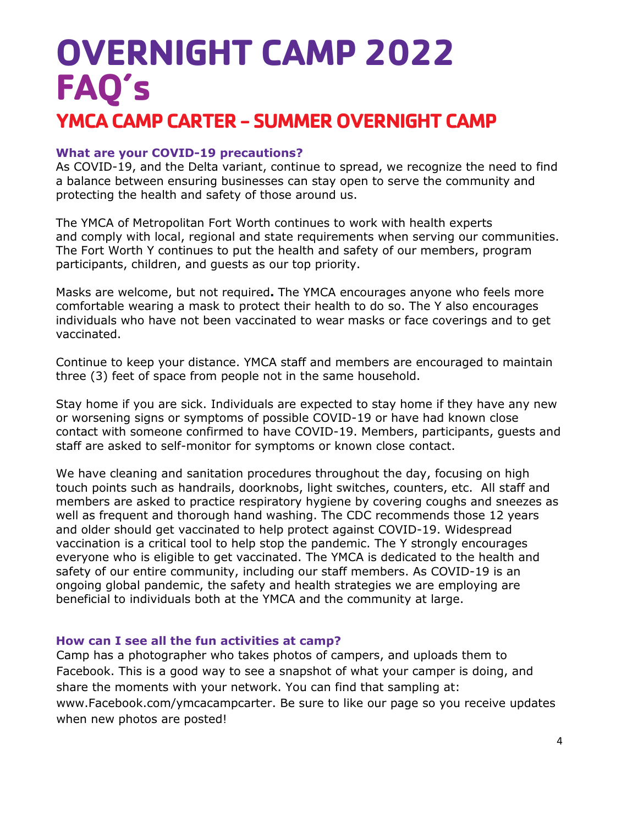## **OVERNIGHT CAMP 2022 FAQ's YMCA CAMP CARTER- SUMMER OVERNIGHT CAMP**

#### **What are your COVID-19 precautions?**

As COVID-19, and the Delta variant, continue to spread, we recognize the need to find a balance between ensuring businesses can stay open to serve the community and protecting the health and safety of those around us.

The YMCA of Metropolitan Fort Worth continues to work with health experts and comply with local, regional and state requirements when serving our communities. The Fort Worth Y continues to put the health and safety of our members, program participants, children, and guests as our top priority.

Masks are welcome, but not required**.** The YMCA encourages anyone who feels more comfortable wearing a mask to protect their health to do so. The Y also encourages individuals who have not been vaccinated to wear masks or face coverings and to get vaccinated.

Continue to keep your distance. YMCA staff and members are encouraged to maintain three (3) feet of space from people not in the same household.

Stay home if you are sick. Individuals are expected to stay home if they have any new or worsening signs or symptoms of possible COVID-19 or have had known close contact with someone confirmed to have COVID-19. Members, participants, guests and staff are asked to self-monitor for symptoms or known close contact.

We have cleaning and sanitation procedures throughout the day, focusing on high touch points such as handrails, doorknobs, light switches, counters, etc. All staff and members are asked to practice respiratory hygiene by covering coughs and sneezes as well as frequent and thorough hand washing. The CDC recommends those 12 years and older should get vaccinated to help protect against COVID-19. Widespread vaccination is a critical tool to help stop the pandemic. The Y strongly encourages everyone who is eligible to get vaccinated. The YMCA is dedicated to the health and safety of our entire community, including our staff members. As COVID-19 is an ongoing global pandemic, the safety and health strategies we are employing are beneficial to individuals both at the YMCA and the community at large.

#### **How can I see all the fun activities at camp?**

Camp has a photographer who takes photos of campers, and uploads them to Facebook. This is a good way to see a snapshot of what your camper is doing, and share the moments with your network. You can find that sampling at: www.Facebook.com/ymcacampcarter. Be sure to like our page so you receive updates when new photos are posted!